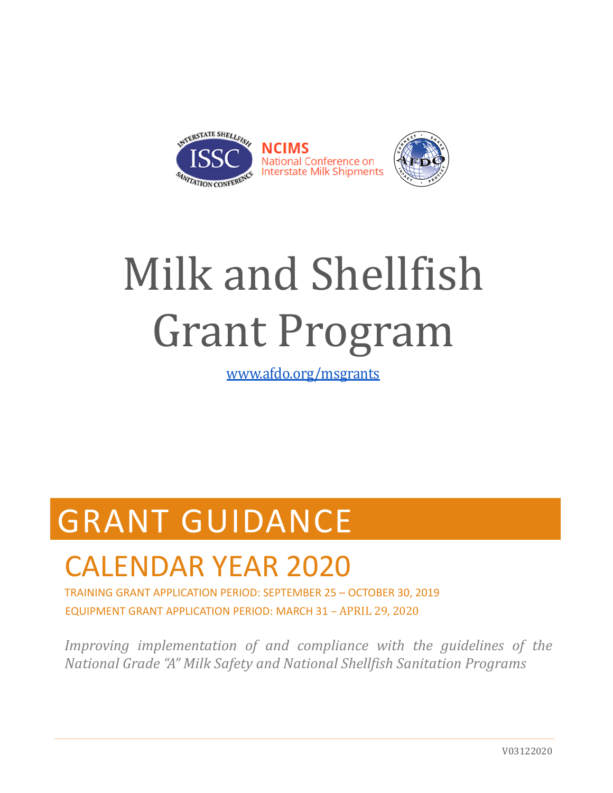

# Milk and Shellfish Grant Program

www.afdo.org/msgrants

## GRANT GUIDANCE

## CALENDAR YEAR 2020

TRAINING GRANT APPLICATION PERIOD: SEPTEMBER 25 – OCTOBER 30, 2019 EQUIPMENT GRANT APPLICATION PERIOD: MARCH 31 – APRIL 29, 2020

*Improving implementation of and compliance with the guidelines of the National Grade "A" Milk Safety and National Shellfish Sanitation Programs*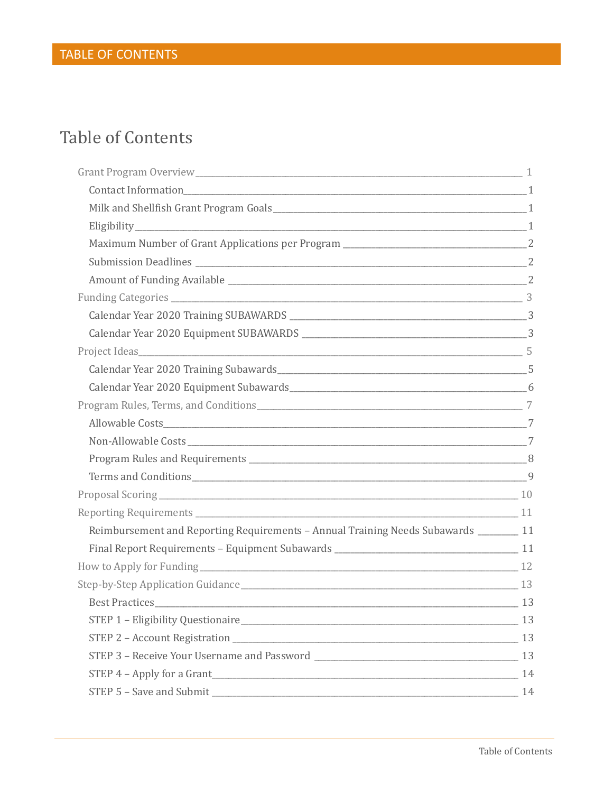## **Table of Contents**

| Proposal Scoring 10                                                                   |  |
|---------------------------------------------------------------------------------------|--|
|                                                                                       |  |
| Reimbursement and Reporting Requirements - Annual Training Needs Subawards _______ 11 |  |
|                                                                                       |  |
| How to Apply for Funding 12                                                           |  |
|                                                                                       |  |
|                                                                                       |  |
|                                                                                       |  |
|                                                                                       |  |
|                                                                                       |  |
| STEP 4 - Apply for a Grant 14                                                         |  |
| STEP 5 - Save and Submit 14                                                           |  |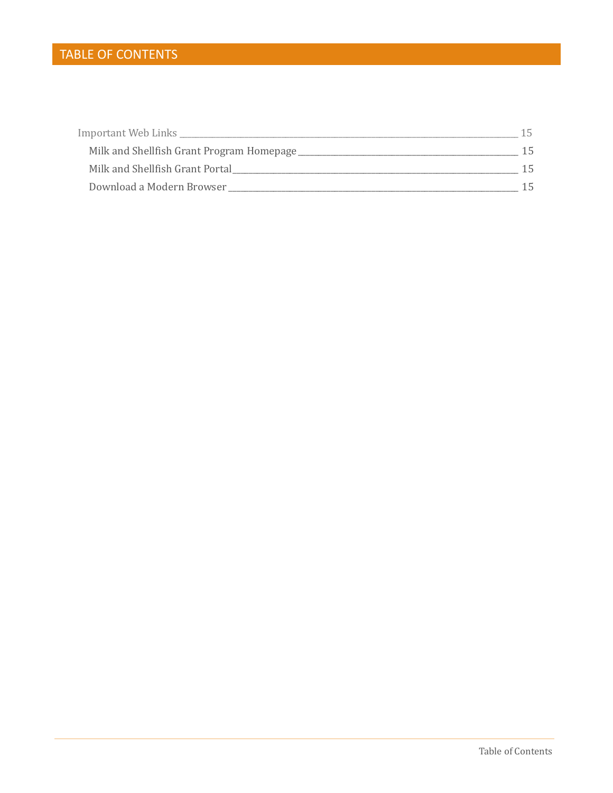### TABLE OF CONTENTS

| Important Web Links                       |  |
|-------------------------------------------|--|
| Milk and Shellfish Grant Program Homepage |  |
| Milk and Shellfish Grant Portal           |  |
| Download a Modern Browser                 |  |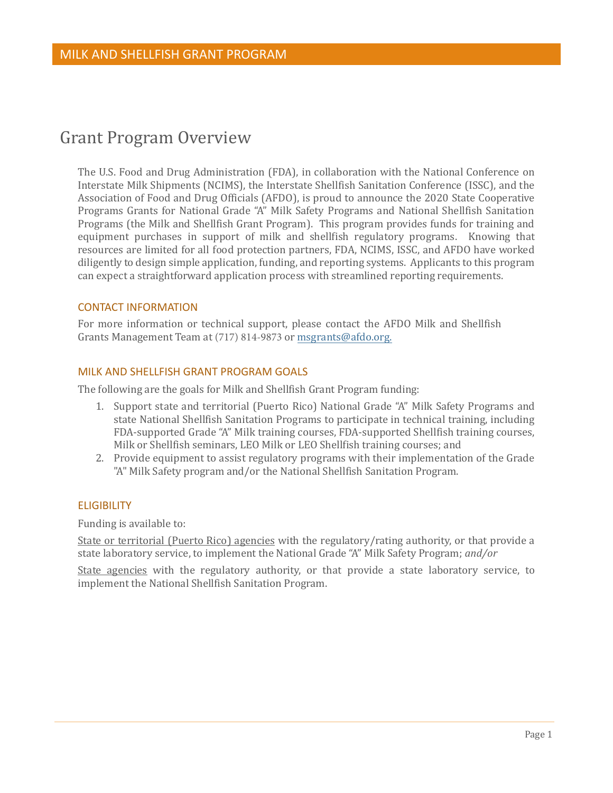## <span id="page-3-0"></span>Grant Program Overview

The U.S. Food and Drug Administration (FDA), in collaboration with the National Conference on Interstate Milk Shipments (NCIMS), the Interstate Shellfish Sanitation Conference (ISSC), and the Association of Food and Drug Officials (AFDO), is proud to announce the 2020 State Cooperative Programs Grants for National Grade "A" Milk Safety Programs and National Shellfish Sanitation Programs (the Milk and Shellfish Grant Program). This program provides funds for training and equipment purchases in support of milk and shellfish regulatory programs. Knowing that resources are limited for all food protection partners, FDA, NCIMS, ISSC, and AFDO have worked diligently to design simple application, funding, and reporting systems. Applicants to this program can expect a straightforward application process with streamlined reporting requirements.

#### <span id="page-3-1"></span>CONTACT INFORMATION

For more information or technical support, please contact the AFDO Milk and Shellfish Grants Management Team at (717) 814-9873 or [msgrants@afdo.org.](mailto:msgrants@afdo.org)

#### <span id="page-3-2"></span>MILK AND SHELLFISH GRANT PROGRAM GOALS

The following are the goals for Milk and Shellfish Grant Program funding:

- 1. Support state and territorial (Puerto Rico) National Grade "A" Milk Safety Programs and state National Shellfish Sanitation Programs to participate in technical training, including FDA-supported Grade "A" Milk training courses, FDA-supported Shellfish training courses, Milk or Shellfish seminars, LEO Milk or LEO Shellfish training courses; and
- 2. Provide equipment to assist regulatory programs with their implementation of the Grade "A" Milk Safety program and/or the National Shellfish Sanitation Program.

#### <span id="page-3-3"></span>ELIGIBILITY

Funding is available to:

State or territorial (Puerto Rico) agencies with the regulatory/rating authority, or that provide a state laboratory service, to implement the National Grade "A" Milk Safety Program; *and/or*

State agencies with the regulatory authority, or that provide a state laboratory service, to implement the National Shellfish Sanitation Program.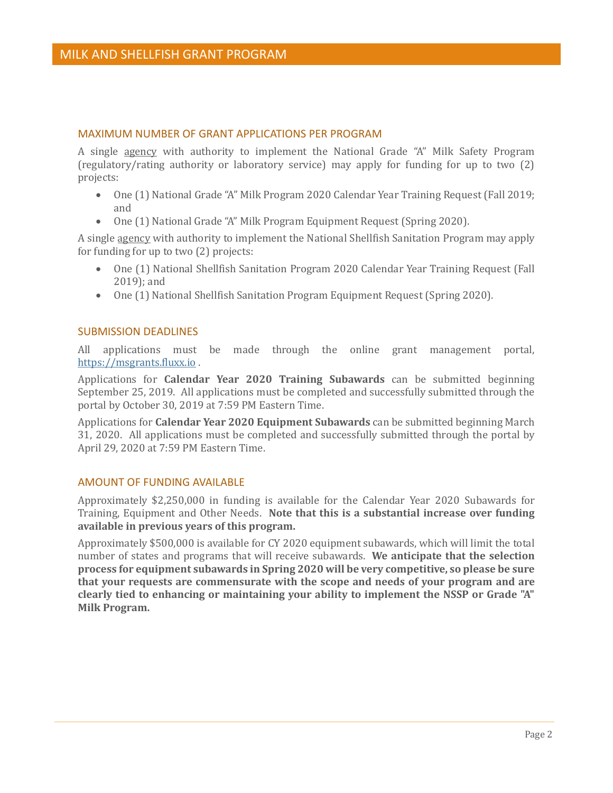#### <span id="page-4-0"></span>MAXIMUM NUMBER OF GRANT APPLICATIONS PER PROGRAM

A single agency with authority to implement the National Grade "A" Milk Safety Program (regulatory/rating authority or laboratory service) may apply for funding for up to two (2) projects:

- One (1) National Grade "A" Milk Program 2020 Calendar Year Training Request (Fall 2019; and
- One (1) National Grade "A" Milk Program Equipment Request (Spring 2020).

A single agency with authority to implement the National Shellfish Sanitation Program may apply for funding for up to two (2) projects:

- One (1) National Shellfish Sanitation Program 2020 Calendar Year Training Request (Fall 2019); and
- One (1) National Shellfish Sanitation Program Equipment Request (Spring 2020).

#### <span id="page-4-1"></span>SUBMISSION DEADLINES

All applications must be made through the online grant management portal, [https://msgrants.fluxx.io](https://msgrants.fluxx.io/) .

Applications for **Calendar Year 2020 Training Subawards** can be submitted beginning September 25, 2019. All applications must be completed and successfully submitted through the portal by October 30, 2019 at 7:59 PM Eastern Time.

Applications for **Calendar Year 2020 Equipment Subawards** can be submitted beginning March 31, 2020. All applications must be completed and successfully submitted through the portal by April 29, 2020 at 7:59 PM Eastern Time.

#### <span id="page-4-2"></span>AMOUNT OF FUNDING AVAILABLE

Approximately \$2,250,000 in funding is available for the Calendar Year 2020 Subawards for Training, Equipment and Other Needs. **Note that this is a substantial increase over funding available in previous years of this program.**

Approximately \$500,000 is available for CY 2020 equipment subawards, which will limit the total number of states and programs that will receive subawards. **We anticipate that the selection process for equipment subawards in Spring 2020 will be very competitive, so please be sure that your requests are commensurate with the scope and needs of your program and are clearly tied to enhancing or maintaining your ability to implement the NSSP or Grade "A" Milk Program.**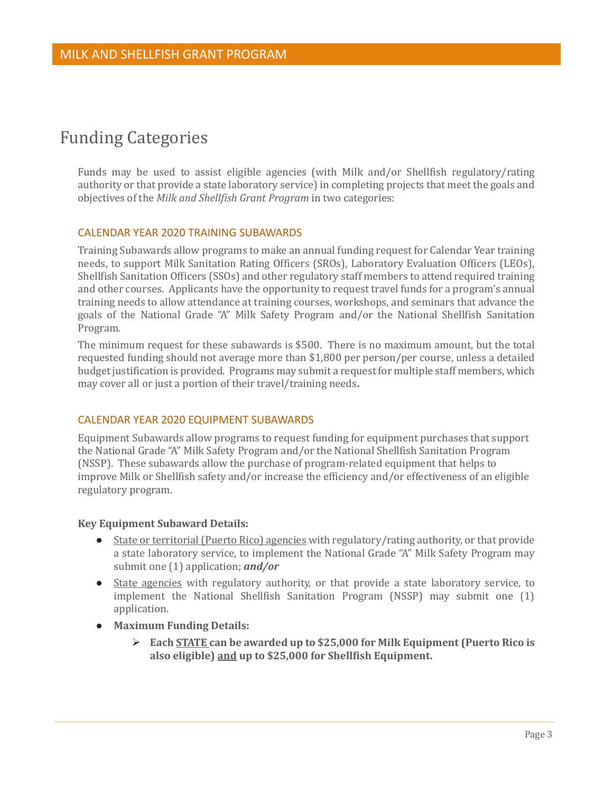## <span id="page-5-0"></span>Funding Categories

Funds may be used to assist eligible agencies (with Milk and/or Shellfish regulatory/rating authority or that provide a state laboratory service) in completing projects that meet the goals and objectives of the *Milk and Shellfish Grant Program* in two categories:

#### <span id="page-5-1"></span>CALENDAR YEAR 2020 TRAINING SUBAWARDS

Training Subawards allow programs to make an annual funding request for Calendar Year training needs, to support Milk Sanitation Rating Officers (SROs), Laboratory Evaluation Officers (LEOs), Shellfish Sanitation Officers (SSOs) and other regulatory staff members to attend required training and other courses. Applicants have the opportunity to request travel funds for a program's annual training needs to allow attendance at training courses, workshops, and seminars that advance the goals of the National Grade "A" Milk Safety Program and/or the National Shellfish Sanitation Program.

The minimum request for these subawards is \$500. There is no maximum amount, but the total requested funding should not average more than \$1,800 per person/per course, unless a detailed budget justification is provided. Programs may submit a request for multiple staff members, which may cover all or just a portion of their travel/training needs**.** 

#### <span id="page-5-2"></span>CALENDAR YEAR 2020 EQUIPMENT SUBAWARDS

Equipment Subawards allow programs to request funding for equipment purchases that support the National Grade "A" Milk Safety Program and/or the National Shellfish Sanitation Program (NSSP). These subawards allow the purchase of program-related equipment that helps to improve Milk or Shellfish safety and/or increase the efficiency and/or effectiveness of an eligible regulatory program.

#### **Key Equipment Subaward Details:**

- State or territorial (Puerto Rico) agencies with regulatory/rating authority, or that provide a state laboratory service, to implement the National Grade "A" Milk Safety Program may submit one (1) application; *and/or*
- State agencies with regulatory authority, or that provide a state laboratory service, to implement the National Shellfish Sanitation Program (NSSP) may submit one (1) application.
- **Maximum Funding Details:**
	- ➢ **Each STATE can be awarded up to \$25,000 for Milk Equipment (Puerto Rico is also eligible) and up to \$25,000 for Shellfish Equipment.**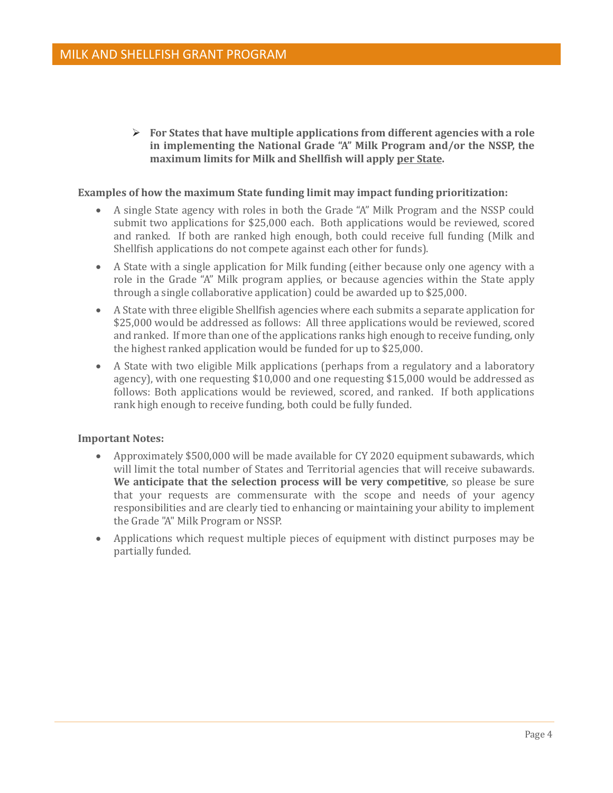➢ **For States that have multiple applications from different agencies with a role in implementing the National Grade "A" Milk Program and/or the NSSP, the maximum limits for Milk and Shellfish will apply per State.**

#### **Examples of how the maximum State funding limit may impact funding prioritization:**

- A single State agency with roles in both the Grade "A" Milk Program and the NSSP could submit two applications for \$25,000 each. Both applications would be reviewed, scored and ranked. If both are ranked high enough, both could receive full funding (Milk and Shellfish applications do not compete against each other for funds).
- A State with a single application for Milk funding (either because only one agency with a role in the Grade "A" Milk program applies, or because agencies within the State apply through a single collaborative application) could be awarded up to \$25,000.
- A State with three eligible Shellfish agencies where each submits a separate application for \$25,000 would be addressed as follows: All three applications would be reviewed, scored and ranked. If more than one of the applications ranks high enough to receive funding, only the highest ranked application would be funded for up to \$25,000.
- A State with two eligible Milk applications (perhaps from a regulatory and a laboratory agency), with one requesting \$10,000 and one requesting \$15,000 would be addressed as follows: Both applications would be reviewed, scored, and ranked. If both applications rank high enough to receive funding, both could be fully funded.

#### **Important Notes:**

- Approximately \$500,000 will be made available for CY 2020 equipment subawards, which will limit the total number of States and Territorial agencies that will receive subawards. **We anticipate that the selection process will be very competitive**, so please be sure that your requests are commensurate with the scope and needs of your agency responsibilities and are clearly tied to enhancing or maintaining your ability to implement the Grade "A" Milk Program or NSSP.
- Applications which request multiple pieces of equipment with distinct purposes may be partially funded.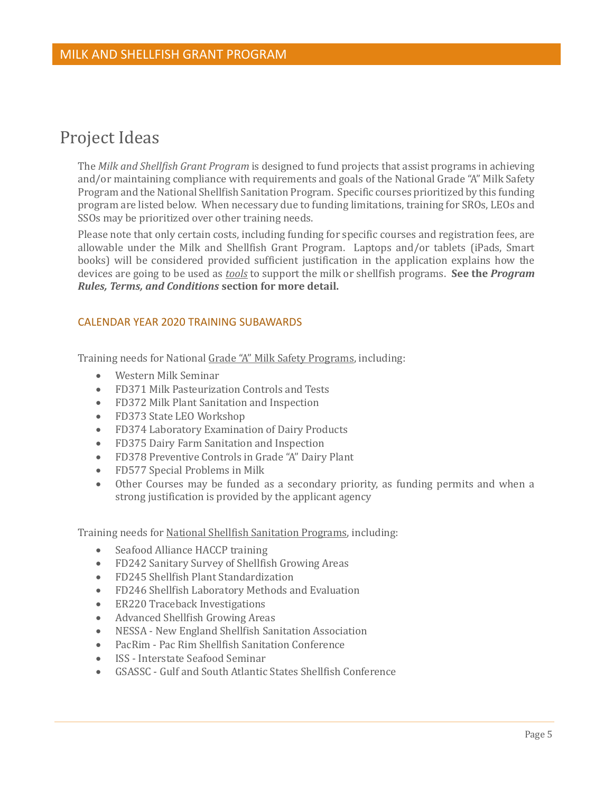## <span id="page-7-0"></span>Project Ideas

The *Milk and Shellfish Grant Program* is designed to fund projects that assist programs in achieving and/or maintaining compliance with requirements and goals of the National Grade "A" Milk Safety Program and the National Shellfish Sanitation Program. Specific courses prioritized by this funding program are listed below. When necessary due to funding limitations, training for SROs, LEOs and SSOs may be prioritized over other training needs.

Please note that only certain costs, including funding for specific courses and registration fees, are allowable under the Milk and Shellfish Grant Program. Laptops and/or tablets (iPads, Smart books) will be considered provided sufficient justification in the application explains how the devices are going to be used as *tools* to support the milk or shellfish programs. **See the** *Program Rules, Terms, and Conditions* **section for more detail.**

#### <span id="page-7-1"></span>CALENDAR YEAR 2020 TRAINING SUBAWARDS

Training needs for National Grade "A" Milk Safety Programs, including:

- Western Milk Seminar
- FD371 Milk Pasteurization Controls and Tests
- FD372 Milk Plant Sanitation and Inspection
- FD373 State LEO Workshop
- FD374 Laboratory Examination of Dairy Products
- FD375 Dairy Farm Sanitation and Inspection
- FD378 Preventive Controls in Grade "A" Dairy Plant
- FD577 Special Problems in Milk
- Other Courses may be funded as a secondary priority, as funding permits and when a strong justification is provided by the applicant agency

Training needs for National Shellfish Sanitation Programs, including:

- Seafood Alliance HACCP training
- FD242 Sanitary Survey of Shellfish Growing Areas
- FD245 Shellfish Plant Standardization
- FD246 Shellfish Laboratory Methods and Evaluation
- ER220 Traceback Investigations
- Advanced Shellfish Growing Areas
- NESSA New England Shellfish Sanitation Association
- PacRim Pac Rim Shellfish Sanitation Conference
- ISS Interstate Seafood Seminar
- GSASSC Gulf and South Atlantic States Shellfish Conference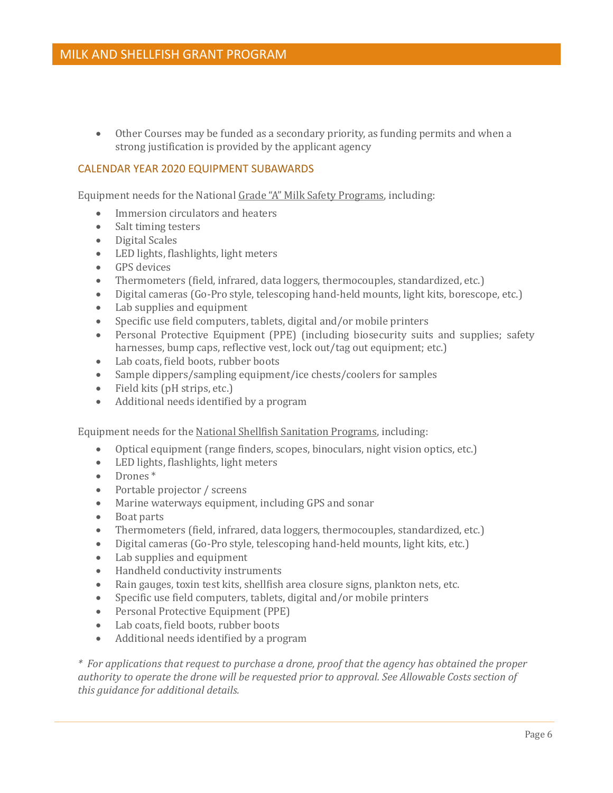• Other Courses may be funded as a secondary priority, as funding permits and when a strong justification is provided by the applicant agency

#### <span id="page-8-0"></span>CALENDAR YEAR 2020 EQUIPMENT SUBAWARDS

Equipment needs for the National Grade "A" Milk Safety Programs, including:

- Immersion circulators and heaters
- Salt timing testers
- Digital Scales
- LED lights, flashlights, light meters
- GPS devices
- Thermometers (field, infrared, data loggers, thermocouples, standardized, etc.)
- Digital cameras (Go-Pro style, telescoping hand-held mounts, light kits, borescope, etc.)
- Lab supplies and equipment
- Specific use field computers, tablets, digital and/or mobile printers
- Personal Protective Equipment (PPE) (including biosecurity suits and supplies; safety harnesses, bump caps, reflective vest, lock out/tag out equipment; etc.)
- Lab coats, field boots, rubber boots
- Sample dippers/sampling equipment/ice chests/coolers for samples
- Field kits (pH strips, etc.)
- Additional needs identified by a program

Equipment needs for the National Shellfish Sanitation Programs, including:

- Optical equipment (range finders, scopes, binoculars, night vision optics, etc.)
- LED lights, flashlights, light meters
- Drones \*
- Portable projector / screens
- Marine waterways equipment, including GPS and sonar
- Boat parts
- Thermometers (field, infrared, data loggers, thermocouples, standardized, etc.)
- Digital cameras (Go-Pro style, telescoping hand-held mounts, light kits, etc.)
- Lab supplies and equipment
- Handheld conductivity instruments
- Rain gauges, toxin test kits, shellfish area closure signs, plankton nets, etc.
- Specific use field computers, tablets, digital and/or mobile printers
- Personal Protective Equipment (PPE)
- Lab coats, field boots, rubber boots
- Additional needs identified by a program

*\* For applications that request to purchase a drone, proof that the agency has obtained the proper authority to operate the drone will be requested prior to approval. See Allowable Costs section of this guidance for additional details.*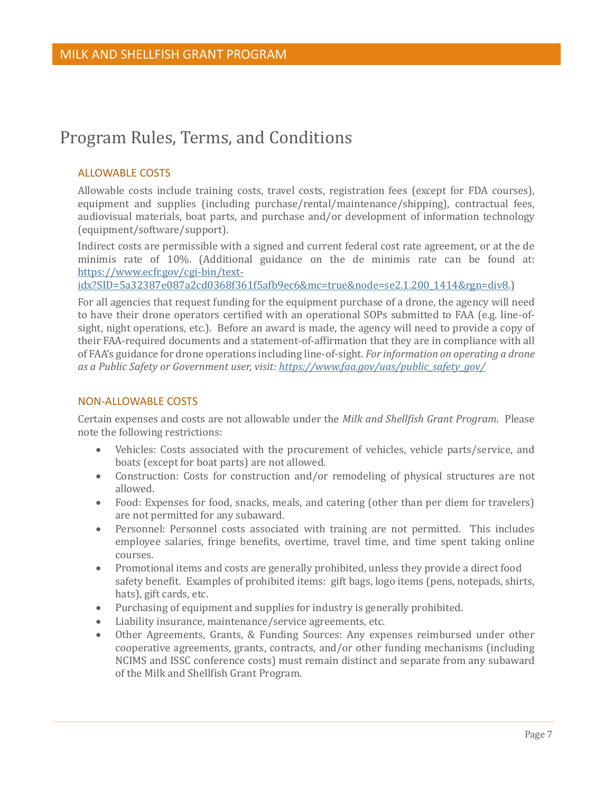## <span id="page-9-0"></span>Program Rules, Terms, and Conditions

#### <span id="page-9-1"></span>ALLOWABLE COSTS

Allowable costs include training costs, travel costs, registration fees (except for FDA courses), equipment and supplies (including purchase/rental/maintenance/shipping), contractual fees, audiovisual materials, boat parts, and purchase and/or development of information technology (equipment/software/support).

Indirect costs are permissible with a signed and current federal cost rate agreement, or at the de minimis rate of 10%. (Additional guidance on the de minimis rate can be found at: [https://www.ecfr.gov/cgi-bin/text-](https://www.ecfr.gov/cgi-bin/text-idx?SID=5a32387e087a2cd0368f361f5afb9ec6&mc=true&node=se2.1.200_1414&rgn=div8)

[idx?SID=5a32387e087a2cd0368f361f5afb9ec6&mc=true&node=se2.1.200\\_1414&rgn=div8.](https://www.ecfr.gov/cgi-bin/text-idx?SID=5a32387e087a2cd0368f361f5afb9ec6&mc=true&node=se2.1.200_1414&rgn=div8))

For all agencies that request funding for the equipment purchase of a drone, the agency will need to have their drone operators certified with an operational SOPs submitted to FAA (e.g. line-ofsight, night operations, etc.). Before an award is made, the agency will need to provide a copy of their FAA-required documents and a statement-of-affirmation that they are in compliance with all of FAA's guidance for drone operations including line-of-sight. *For information on operating a drone as a Public Safety or Government user, visit: [https://www.faa.gov/uas/public\\_safety\\_gov/](https://www.faa.gov/uas/public_safety_gov/)*

#### <span id="page-9-2"></span>NON-ALLOWABLE COSTS

Certain expenses and costs are not allowable under the *Milk and Shellfish Grant Program*. Please note the following restrictions:

- Vehicles: Costs associated with the procurement of vehicles, vehicle parts/service, and boats (except for boat parts) are not allowed.
- Construction: Costs for construction and/or remodeling of physical structures are not allowed.
- Food: Expenses for food, snacks, meals, and catering (other than per diem for travelers) are not permitted for any subaward.
- Personnel: Personnel costs associated with training are not permitted. This includes employee salaries, fringe benefits, overtime, travel time, and time spent taking online courses.
- Promotional items and costs are generally prohibited, unless they provide a direct food safety benefit. Examples of prohibited items: gift bags, logo items (pens, notepads, shirts, hats), gift cards, etc.
- Purchasing of equipment and supplies for industry is generally prohibited.
- Liability insurance, maintenance/service agreements, etc.
- Other Agreements, Grants, & Funding Sources: Any expenses reimbursed under other cooperative agreements, grants, contracts, and/or other funding mechanisms (including NCIMS and ISSC conference costs) must remain distinct and separate from any subaward of the Milk and Shellfish Grant Program.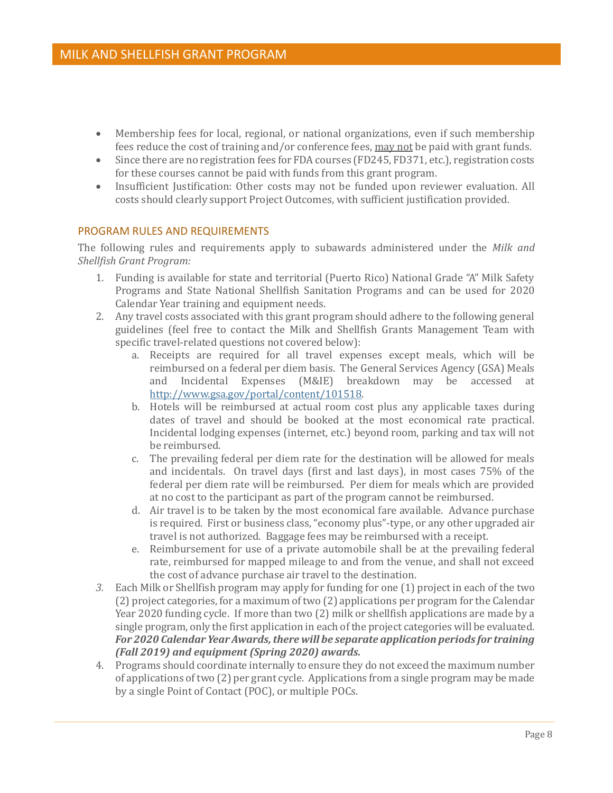- Membership fees for local, regional, or national organizations, even if such membership fees reduce the cost of training and/or conference fees, may not be paid with grant funds.
- Since there are no registration fees for FDA courses (FD245, FD371, etc.), registration costs for these courses cannot be paid with funds from this grant program.
- Insufficient Justification: Other costs may not be funded upon reviewer evaluation. All costs should clearly support Project Outcomes, with sufficient justification provided.

#### <span id="page-10-0"></span>PROGRAM RULES AND REQUIREMENTS

The following rules and requirements apply to subawards administered under the *Milk and Shellfish Grant Program:*

- 1. Funding is available for state and territorial (Puerto Rico) National Grade "A" Milk Safety Programs and State National Shellfish Sanitation Programs and can be used for 2020 Calendar Year training and equipment needs.
- 2. Any travel costs associated with this grant program should adhere to the following general guidelines (feel free to contact the Milk and Shellfish Grants Management Team with specific travel-related questions not covered below):
	- a. Receipts are required for all travel expenses except meals, which will be reimbursed on a federal per diem basis. The General Services Agency (GSA) Meals and Incidental Expenses (M&IE) breakdown may be accessed at [http://www.gsa.gov/portal/content/101518.](http://www.gsa.gov/portal/content/101518)
	- b. Hotels will be reimbursed at actual room cost plus any applicable taxes during dates of travel and should be booked at the most economical rate practical. Incidental lodging expenses (internet, etc.) beyond room, parking and tax will not be reimbursed.
	- c. The prevailing federal per diem rate for the destination will be allowed for meals and incidentals. On travel days (first and last days), in most cases 75% of the federal per diem rate will be reimbursed. Per diem for meals which are provided at no cost to the participant as part of the program cannot be reimbursed.
	- d. Air travel is to be taken by the most economical fare available. Advance purchase is required. First or business class, "economy plus"-type, or any other upgraded air travel is not authorized. Baggage fees may be reimbursed with a receipt.
	- e. Reimbursement for use of a private automobile shall be at the prevailing federal rate, reimbursed for mapped mileage to and from the venue, and shall not exceed the cost of advance purchase air travel to the destination.
- *3.* Each Milk or Shellfish program may apply for funding for one (1) project in each of the two (2) project categories, for a maximum of two (2) applications per program for the Calendar Year 2020 funding cycle. If more than two (2) milk or shellfish applications are made by a single program, only the first application in each of the project categories will be evaluated. *For 2020 Calendar Year Awards, there will be separate application periods for training (Fall 2019) and equipment (Spring 2020) awards.*
- 4. Programs should coordinate internally to ensure they do not exceed the maximum number of applications of two (2) per grant cycle. Applications from a single program may be made by a single Point of Contact (POC), or multiple POCs.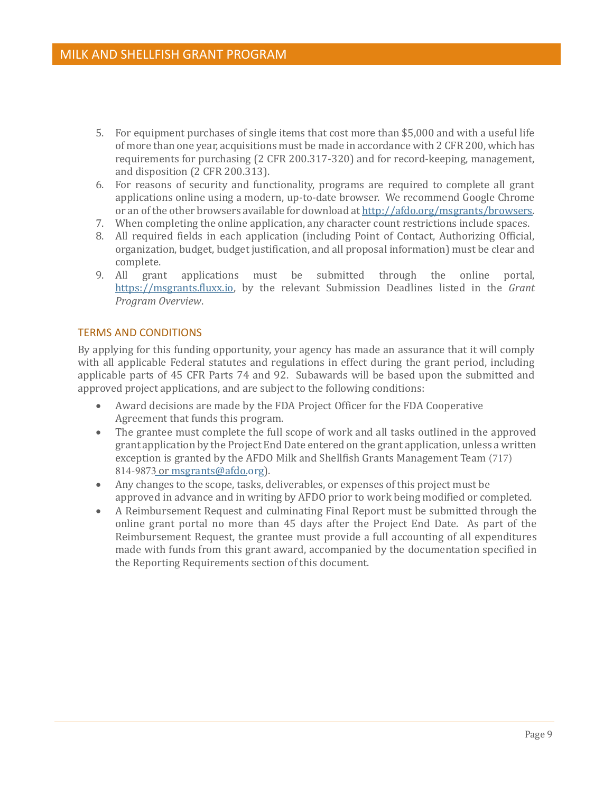- 5. For equipment purchases of single items that cost more than \$5,000 and with a useful life of more than one year, acquisitions must be made in accordance with 2 CFR 200, which has requirements for purchasing (2 CFR 200.317-320) and for record-keeping, management, and disposition (2 CFR 200.313).
- 6. For reasons of security and functionality, programs are required to complete all grant applications online using a modern, up-to-date browser. We recommend Google Chrome or an of the other browsers available for download at [http://afdo.org/msgrants/browsers.](http://afdo.org/msgrants/browsers)
- 7. When completing the online application, any character count restrictions include spaces.
- 8. All required fields in each application (including Point of Contact, Authorizing Official, organization, budget, budget justification, and all proposal information) must be clear and complete.
- 9. All grant applications must be submitted through the online portal, [https://msgrants.fluxx.io,](https://msgrants.fluxx.io/) by the relevant Submission Deadlines listed in the *Grant Program Overview*.

#### <span id="page-11-0"></span>TERMS AND CONDITIONS

By applying for this funding opportunity, your agency has made an assurance that it will comply with all applicable Federal statutes and regulations in effect during the grant period, including applicable parts of 45 CFR Parts 74 and 92. Subawards will be based upon the submitted and approved project applications, and are subject to the following conditions:

- Award decisions are made by the FDA Project Officer for the FDA Cooperative Agreement that funds this program.
- The grantee must complete the full scope of work and all tasks outlined in the approved grant application by the Project End Date entered on the grant application, unless a written exception is granted by the AFDO Milk and Shellfish Grants Management Team (717) 814-9873 or [msgrants@afdo.org\)](mailto:msgrants@afdo.org).
- Any changes to the scope, tasks, deliverables, or expenses of this project must be approved in advance and in writing by AFDO prior to work being modified or completed.
- A Reimbursement Request and culminating Final Report must be submitted through the online grant portal no more than 45 days after the Project End Date. As part of the Reimbursement Request, the grantee must provide a full accounting of all expenditures made with funds from this grant award, accompanied by the documentation specified in the Reporting Requirements section of this document.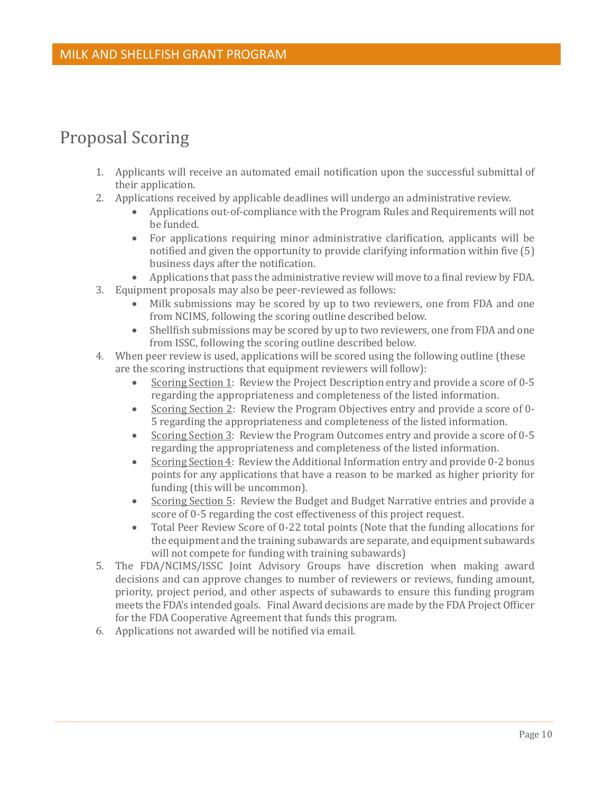## <span id="page-12-0"></span>Proposal Scoring

- 1. Applicants will receive an automated email notification upon the successful submittal of their application.
- 2. Applications received by applicable deadlines will undergo an administrative review.
	- Applications out-of-compliance with the Program Rules and Requirements will not be funded.
	- For applications requiring minor administrative clarification, applicants will be notified and given the opportunity to provide clarifying information within five (5) business days after the notification.
	- Applications that pass the administrative review will move to a final review by FDA.
- 3. Equipment proposals may also be peer-reviewed as follows:
	- Milk submissions may be scored by up to two reviewers, one from FDA and one from NCIMS, following the scoring outline described below.
	- Shellfish submissions may be scored by up to two reviewers, one from FDA and one from ISSC, following the scoring outline described below.
- 4. When peer review is used, applications will be scored using the following outline (these are the scoring instructions that equipment reviewers will follow):
	- Scoring Section 1: Review the Project Description entry and provide a score of 0-5 regarding the appropriateness and completeness of the listed information.
	- Scoring Section 2: Review the Program Objectives entry and provide a score of 0- 5 regarding the appropriateness and completeness of the listed information.
	- Scoring Section 3: Review the Program Outcomes entry and provide a score of 0-5 regarding the appropriateness and completeness of the listed information.
	- Scoring Section 4: Review the Additional Information entry and provide 0-2 bonus points for any applications that have a reason to be marked as higher priority for funding (this will be uncommon).
	- Scoring Section 5: Review the Budget and Budget Narrative entries and provide a score of 0-5 regarding the cost effectiveness of this project request.
	- Total Peer Review Score of 0-22 total points (Note that the funding allocations for the equipment and the training subawards are separate, and equipment subawards will not compete for funding with training subawards)
- 5. The FDA/NCIMS/ISSC Joint Advisory Groups have discretion when making award decisions and can approve changes to number of reviewers or reviews, funding amount, priority, project period, and other aspects of subawards to ensure this funding program meets the FDA's intended goals. Final Award decisions are made by the FDA Project Officer for the FDA Cooperative Agreement that funds this program.
- 6. Applications not awarded will be notified via email.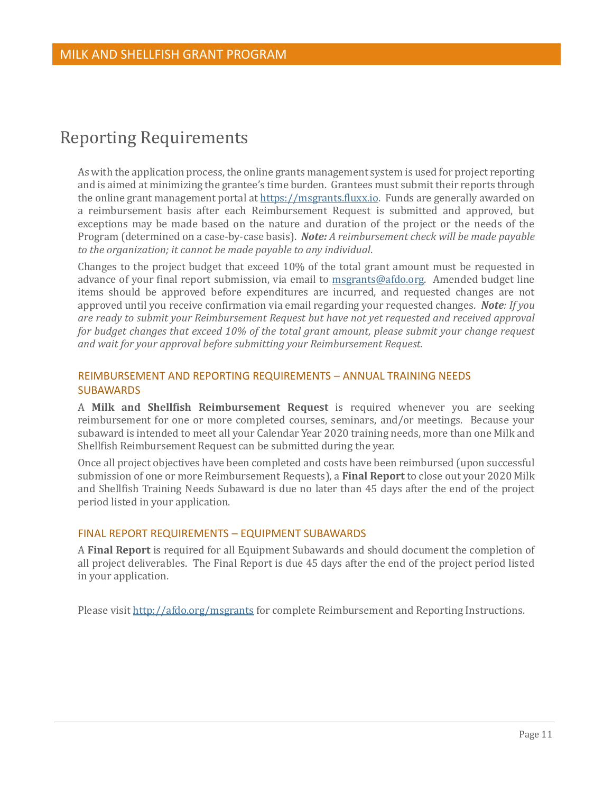## <span id="page-13-0"></span>Reporting Requirements

As with the application process, the online grants management system is used for project reporting and is aimed at minimizing the grantee's time burden. Grantees must submit their reports through the online grant management portal at [https://msgrants.fluxx.io.](https://msgrants.fluxx.io/) Funds are generally awarded on a reimbursement basis after each Reimbursement Request is submitted and approved, but exceptions may be made based on the nature and duration of the project or the needs of the Program (determined on a case-by-case basis). *Note: A reimbursement check will be made payable to the organization; it cannot be made payable to any individual*.

Changes to the project budget that exceed 10% of the total grant amount must be requested in advance of your final report submission, via email to [msgrants@afdo.org.](mailto:msgrants@afdo.org) Amended budget line items should be approved before expenditures are incurred, and requested changes are not approved until you receive confirmation via email regarding your requested changes*. Note: If you are ready to submit your Reimbursement Request but have not yet requested and received approval for budget changes that exceed 10% of the total grant amount, please submit your change request and wait for your approval before submitting your Reimbursement Request.*

#### <span id="page-13-1"></span>REIMBURSEMENT AND REPORTING REQUIREMENTS – ANNUAL TRAINING NEEDS SUBAWARDS

A **Milk and Shellfish Reimbursement Request** is required whenever you are seeking reimbursement for one or more completed courses, seminars, and/or meetings. Because your subaward is intended to meet all your Calendar Year 2020 training needs, more than one Milk and Shellfish Reimbursement Request can be submitted during the year.

Once all project objectives have been completed and costs have been reimbursed (upon successful submission of one or more Reimbursement Requests), a **Final Report** to close out your 2020 Milk and Shellfish Training Needs Subaward is due no later than 45 days after the end of the project period listed in your application.

#### <span id="page-13-2"></span>FINAL REPORT REQUIREMENTS – EQUIPMENT SUBAWARDS

A **Final Report** is required for all Equipment Subawards and should document the completion of all project deliverables. The Final Report is due 45 days after the end of the project period listed in your application.

Please visit<http://afdo.org/msgrants> for complete Reimbursement and Reporting Instructions.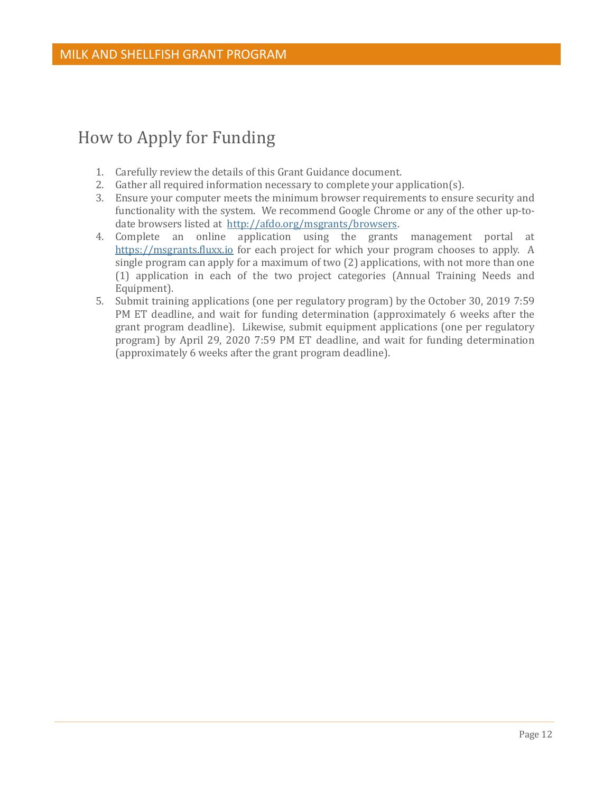## <span id="page-14-0"></span>How to Apply for Funding

- 1. Carefully review the details of this Grant Guidance document.
- 2. Gather all required information necessary to complete your application(s).
- 3. Ensure your computer meets the minimum browser requirements to ensure security and functionality with the system. We recommend Google Chrome or any of the other up-todate browsers listed at [http://afdo.org/msgrants/browsers.](http://afdo.org/msgrants/browsers)
- 4. Complete an online application using the grants management portal at [https://msgrants.fluxx.io](https://msgrants.fluxx.io/) for each project for which your program chooses to apply. A single program can apply for a maximum of two (2) applications, with not more than one (1) application in each of the two project categories (Annual Training Needs and Equipment).
- 5. Submit training applications (one per regulatory program) by the October 30, 2019 7:59 PM ET deadline, and wait for funding determination (approximately 6 weeks after the grant program deadline). Likewise, submit equipment applications (one per regulatory program) by April 29, 2020 7:59 PM ET deadline, and wait for funding determination (approximately 6 weeks after the grant program deadline).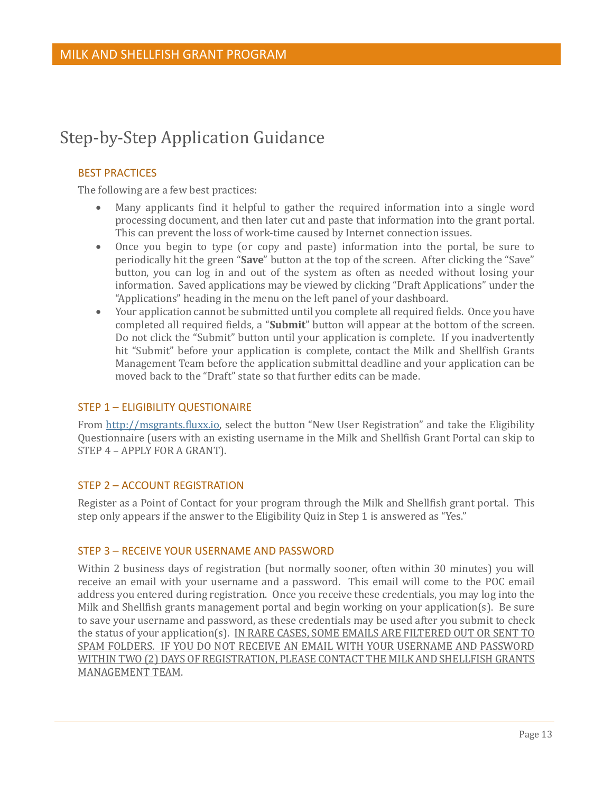## <span id="page-15-0"></span>Step-by-Step Application Guidance

#### <span id="page-15-1"></span>BEST PRACTICES

The following are a few best practices:

- Many applicants find it helpful to gather the required information into a single word processing document, and then later cut and paste that information into the grant portal. This can prevent the loss of work-time caused by Internet connection issues.
- Once you begin to type (or copy and paste) information into the portal, be sure to periodically hit the green "**Save**" button at the top of the screen. After clicking the "Save" button, you can log in and out of the system as often as needed without losing your information. Saved applications may be viewed by clicking "Draft Applications" under the "Applications" heading in the menu on the left panel of your dashboard.
- Your application cannot be submitted until you complete all required fields. Once you have completed all required fields, a "**Submit**" button will appear at the bottom of the screen. Do not click the "Submit" button until your application is complete. If you inadvertently hit "Submit" before your application is complete, contact the Milk and Shellfish Grants Management Team before the application submittal deadline and your application can be moved back to the "Draft" state so that further edits can be made.

#### <span id="page-15-2"></span>STEP 1 – ELIGIBILITY QUESTIONAIRE

From [http://msgrants.fluxx.io,](http://msgrants.fluxx.io/) select the button "New User Registration" and take the Eligibility Questionnaire (users with an existing username in the Milk and Shellfish Grant Portal can skip to STEP 4 – APPLY FOR A GRANT).

#### <span id="page-15-3"></span>STEP 2 – ACCOUNT REGISTRATION

Register as a Point of Contact for your program through the Milk and Shellfish grant portal. This step only appears if the answer to the Eligibility Quiz in Step 1 is answered as "Yes."

#### <span id="page-15-4"></span>STEP 3 – RECEIVE YOUR USERNAME AND PASSWORD

Within 2 business days of registration (but normally sooner, often within 30 minutes) you will receive an email with your username and a password. This email will come to the POC email address you entered during registration. Once you receive these credentials, you may log into the Milk and Shellfish grants management portal and begin working on your application(s). Be sure to save your username and password, as these credentials may be used after you submit to check the status of your application(s). IN RARE CASES, SOME EMAILS ARE FILTERED OUT OR SENT TO SPAM FOLDERS. IF YOU DO NOT RECEIVE AN EMAIL WITH YOUR USERNAME AND PASSWORD WITHIN TWO (2) DAYS OF REGISTRATION, PLEASE CONTACT THE MILK AND SHELLFISH GRANTS MANAGEMENT TEAM.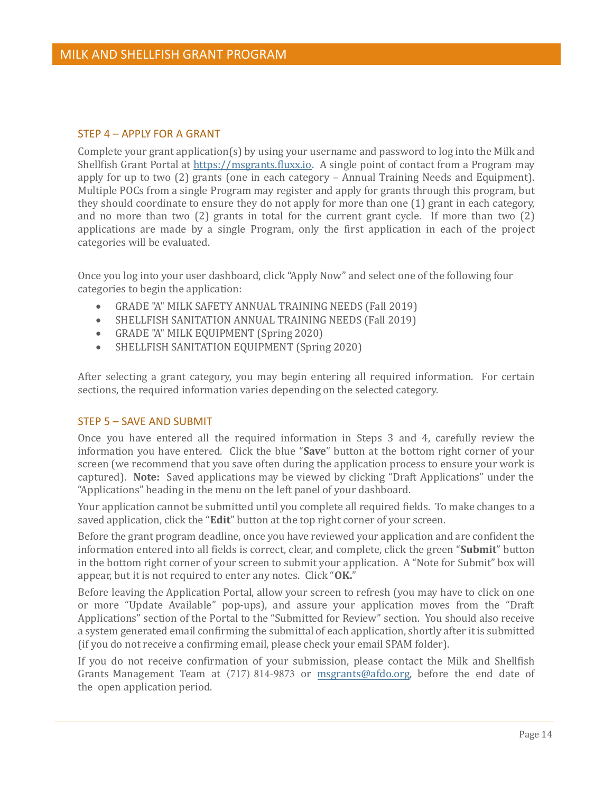#### <span id="page-16-0"></span>STEP 4 – APPLY FOR A GRANT

Complete your grant application(s) by using your username and password to log into the Milk and Shellfish Grant Portal at [https://msgrants.fluxx.io.](https://msgrants.fluxx.io/) A single point of contact from a Program may apply for up to two (2) grants (one in each category – Annual Training Needs and Equipment). Multiple POCs from a single Program may register and apply for grants through this program, but they should coordinate to ensure they do not apply for more than one (1) grant in each category, and no more than two (2) grants in total for the current grant cycle. If more than two (2) applications are made by a single Program, only the first application in each of the project categories will be evaluated.

Once you log into your user dashboard, click "Apply Now" and select one of the following four categories to begin the application:

- GRADE "A" MILK SAFETY ANNUAL TRAINING NEEDS (Fall 2019)
- SHELLFISH SANITATION ANNUAL TRAINING NEEDS (Fall 2019)
- GRADE "A" MILK EQUIPMENT (Spring 2020)
- SHELLFISH SANITATION EQUIPMENT (Spring 2020)

After selecting a grant category, you may begin entering all required information. For certain sections, the required information varies depending on the selected category.

#### <span id="page-16-1"></span>STEP 5 – SAVE AND SUBMIT

Once you have entered all the required information in Steps 3 and 4, carefully review the information you have entered. Click the blue "**Save**" button at the bottom right corner of your screen (we recommend that you save often during the application process to ensure your work is captured). **Note:** Saved applications may be viewed by clicking "Draft Applications" under the "Applications" heading in the menu on the left panel of your dashboard.

Your application cannot be submitted until you complete all required fields. To make changes to a saved application, click the "**Edit**" button at the top right corner of your screen.

Before the grant program deadline, once you have reviewed your application and are confident the information entered into all fields is correct, clear, and complete, click the green "**Submit**" button in the bottom right corner of your screen to submit your application. A "Note for Submit" box will appear, but it is not required to enter any notes. Click "**OK.**"

Before leaving the Application Portal, allow your screen to refresh (you may have to click on one or more "Update Available" pop-ups), and assure your application moves from the "Draft Applications" section of the Portal to the "Submitted for Review" section. You should also receive a system generated email confirming the submittal of each application, shortly after it is submitted (if you do not receive a confirming email, please check your email SPAM folder).

If you do not receive confirmation of your submission, please contact the Milk and Shellfish Grants Management Team at (717) 814-9873 or [msgrants@afdo.org,](mailto:msgrants@afdo.org) before the end date of the open application period.